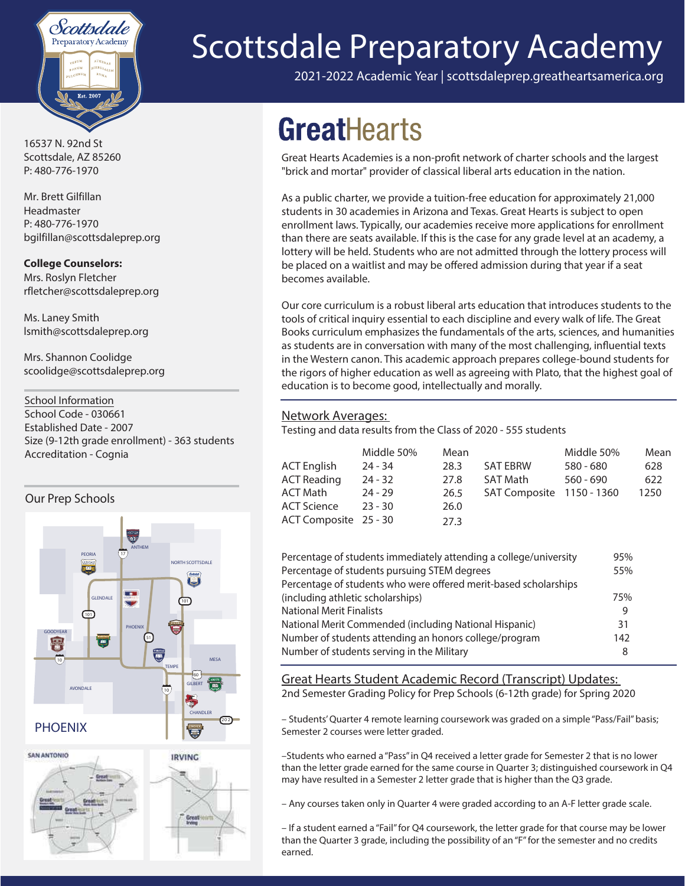

**16537 N. 92nd St Scottsdale, AZ 85260 P: 480-776-1970**

Mr. Brett Gilfillan Headmaster P: 480-776-1970 bgilfillan@scottsdaleprep.org

#### **College Counselors:**

Mrs. Roslyn Fletcher rfletcher@scottsdaleprep.org

Ms. Laney Smith lsmith@scottsdaleprep.org

Mrs. Shannon Coolidge scoolidge@scottsdaleprep.org

**School Information** School Code - 030661 Established Date - 2007 Size (9-12th grade enrollment) - 363 students Accreditation - Cognia

#### Our Prep Schools



Great



# **Scottsdale Preparatory Academy**

2021-2022 Academic Year | scottsdaleprep.greatheartsamerica.org

## **GreatHearts**

Great Hearts Academies is a non-profit network of charter schools and the largest "brick and mortar" provider of classical liberal arts education in the nation.

As a public charter, we provide a tuition-free education for approximately 21,000 students in 30 academies in Arizona and Texas. Great Hearts is subject to open enrollment laws. Typically, our academies receive more applications for enrollment than there are seats available. If this is the case for any grade level at an academy, a lottery will be held. Students who are not admitted through the lottery process will be placed on a waitlist and may be offered admission during that year if a seat becomes available.

Our core curriculum is a robust liberal arts education that introduces students to the tools of critical inquiry essential to each discipline and every walk of life. The Great Books curriculum emphasizes the fundamentals of the arts, sciences, and humanities as students are in conversation with many of the most challenging, influential texts in the Western canon. This academic approach prepares college-bound students for the rigors of higher education as well as agreeing with Plato, that the highest goal of education is to become good, intellectually and morally.

#### Network Averages:

Testing and data results from the Class of 2020 - 555 students

|                       | Middle 50% | Mean |                           | Middle 50%  | Mean |
|-----------------------|------------|------|---------------------------|-------------|------|
| <b>ACT English</b>    | $24 - 34$  | 28.3 | <b>SAT EBRW</b>           | $580 - 680$ | 628  |
| <b>ACT Reading</b>    | $24 - 32$  | 27.8 | <b>SAT Math</b>           | $560 - 690$ | 622  |
| <b>ACT Math</b>       | $24 - 29$  | 26.5 | SAT Composite 1150 - 1360 |             | 1250 |
| <b>ACT Science</b>    | $23 - 30$  | 26.0 |                           |             |      |
| ACT Composite 25 - 30 |            | 27.3 |                           |             |      |

| Percentage of students immediately attending a college/university | 95% |
|-------------------------------------------------------------------|-----|
| Percentage of students pursuing STEM degrees                      | 55% |
| Percentage of students who were offered merit-based scholarships  |     |
| (including athletic scholarships)                                 | 75% |
| <b>National Merit Finalists</b>                                   |     |
| National Merit Commended (including National Hispanic)            | 31  |
| Number of students attending an honors college/program            | 142 |
| Number of students serving in the Military                        | 8   |
|                                                                   |     |

Great Hearts Student Academic Record (Transcript) Updates: 2nd Semester Grading Policy for Prep Schools (6-12th grade) for Spring 2020

– Students' Quarter 4 remote learning coursework was graded on a simple "Pass/Fail" basis; Semester 2 courses were letter graded.

–Students who earned a "Pass" in Q4 received a letter grade for Semester 2 that is no lower than the letter grade earned for the same course in Quarter 3; distinguished coursework in Q4 may have resulted in a Semester 2 letter grade that is higher than the Q3 grade.

– Any courses taken only in Quarter 4 were graded according to an A-F letter grade scale.

– If a student earned a "Fail" for Q4 coursework, the letter grade for that course may be lower than the Quarter 3 grade, including the possibility of an "F" for the semester and no credits earned.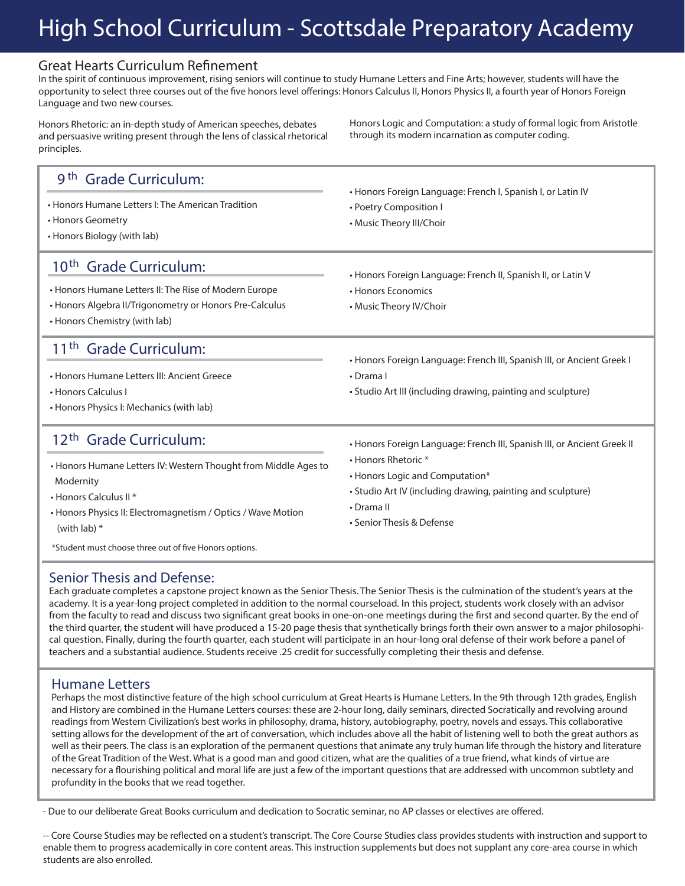### **High School Curriculum - Scottsdale Preparatory Academy**

#### Great Hearts Curriculum Refinement

**In the spirit of continuous improvement, rising seniors will continue to study Humane Letters and Fine Arts; however, students will have the**  opportunity to select three courses out of the five honors level offerings: Honors Calculus II, Honors Physics II, a fourth year of Honors Foreign **Language and two new courses.** 

**Honors Rhetoric: an in-depth study of American speeches, debates and persuasive writing present through the lens of classical rhetorical principles.** 

**Honors Logic and Computation: a study of formal logic from Aristotle through its modern incarnation as computer coding.**

| 9 <sup>th</sup> Grade Curriculum:<br>• Honors Humane Letters I: The American Tradition<br>• Honors Geometry<br>• Honors Biology (with lab)                                                                                                                                                          | • Honors Foreign Language: French I, Spanish I, or Latin IV<br>• Poetry Composition I<br>• Music Theory III/Choir                                                                                                                           |
|-----------------------------------------------------------------------------------------------------------------------------------------------------------------------------------------------------------------------------------------------------------------------------------------------------|---------------------------------------------------------------------------------------------------------------------------------------------------------------------------------------------------------------------------------------------|
| 10 <sup>th</sup> Grade Curriculum:<br>• Honors Humane Letters II: The Rise of Modern Europe<br>• Honors Algebra II/Trigonometry or Honors Pre-Calculus<br>• Honors Chemistry (with lab)                                                                                                             | • Honors Foreign Language: French II, Spanish II, or Latin V<br>• Honors Economics<br>• Music Theory IV/Choir                                                                                                                               |
| 11 <sup>th</sup> Grade Curriculum:<br>• Honors Humane Letters III: Ancient Greece<br>• Honors Calculus I<br>• Honors Physics I: Mechanics (with lab)                                                                                                                                                | • Honors Foreign Language: French III, Spanish III, or Ancient Greek I<br>$\cdot$ Drama I<br>• Studio Art III (including drawing, painting and sculpture)                                                                                   |
| 12 <sup>th</sup> Grade Curriculum:<br>• Honors Humane Letters IV: Western Thought from Middle Ages to<br>Modernity<br>• Honors Calculus II <sup>*</sup><br>• Honors Physics II: Electromagnetism / Optics / Wave Motion<br>(with lab) $*$<br>*Student must choose three out of five Honors options. | • Honors Foreign Language: French III, Spanish III, or Ancient Greek II<br>• Honors Rhetoric *<br>• Honors Logic and Computation*<br>• Studio Art IV (including drawing, painting and sculpture)<br>• Drama II<br>• Senior Thesis & Defense |

#### **Senior Thesis and Defense:**

**Each graduate completes a capstone project known as the Senior Thesis. The Senior Thesis is the culmination of the student's years at the academy. It is a year-long project completed in addition to the normal courseload. In this project, students work closely with an advisor**  from the faculty to read and discuss two significant great books in one-on-one meetings during the first and second quarter. By the end of **the third quarter, the student will have produced a 15-20 page thesis that synthetically brings forth their own answer to a major philosophical question. Finally, during the fourth quarter, each student will participate in an hour-long oral defense of their work before a panel of teachers and a substantial audience. Students receive .25 credit for successfully completing their thesis and defense.** 

#### **Humane Letters**

**Perhaps the most distinctive feature of the high school curriculum at Great Hearts is Humane Letters. In the 9th through 12th grades, English and History are combined in the Humane Letters courses: these are 2-hour long, daily seminars, directed Socratically and revolving around readings from Western Civilization's best works in philosophy, drama, history, autobiography, poetry, novels and essays. This collaborative setting allows for the development of the art of conversation, which includes above all the habit of listening well to both the great authors as well as their peers. The class is an exploration of the permanent questions that animate any truly human life through the history and literature of the Great Tradition of the West. What is a good man and good citizen, what are the qualities of a true friend, what kinds of virtue are**  necessary for a flourishing political and moral life are just a few of the important questions that are addressed with uncommon subtlety and **profundity in the books that we read together.** 

- Due to our deliberate Great Books curriculum and dedication to Socratic seminar, no AP classes or electives are offered.

-- Core Course Studies may be reflected on a student's transcript. The Core Course Studies class provides students with instruction and support to enable them to progress academically in core content areas. This instruction supplements but does not supplant any core-area course in which students are also enrolled.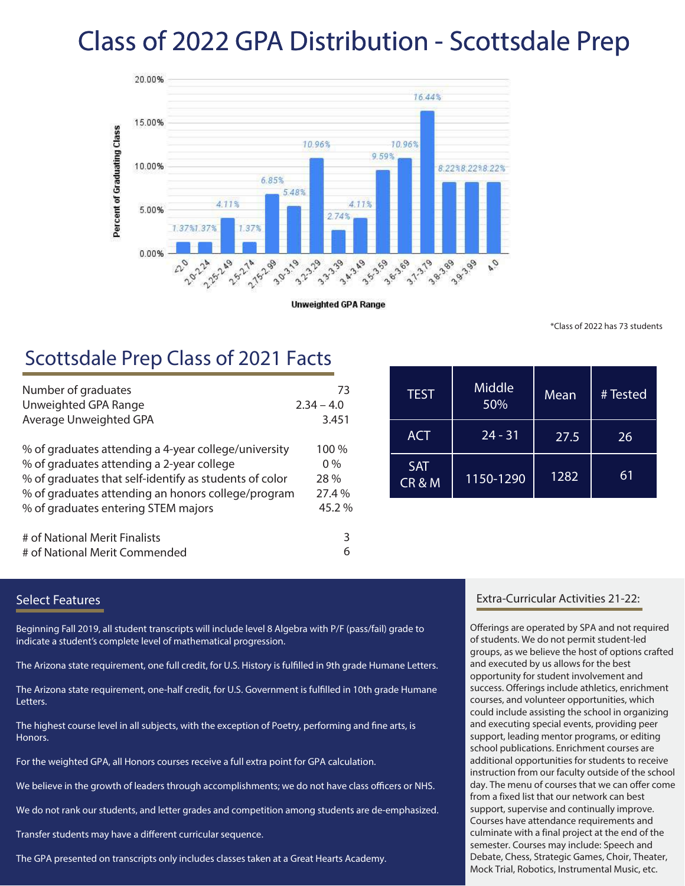## **Class of 202**2 **GPA Distribution - Scottsdale Prep**



**Unweighted GPA Range** 

\*Class of 2022 has 73 students

### **Scottsdale Prep Class of 202**1 **Facts**

| Number of graduates                                    | 73           |
|--------------------------------------------------------|--------------|
| Unweighted GPA Range                                   | $2.34 - 4.0$ |
| Average Unweighted GPA                                 | 3.451        |
| % of graduates attending a 4-year college/university   | 100 %        |
| % of graduates attending a 2-year college              | $0\%$        |
| % of graduates that self-identify as students of color | 28 %         |
| % of graduates attending an honors college/program     | 27.4 %       |
| % of graduates entering STEM majors                    | 45.2%        |
| # of National Merit Finalists                          | 3            |
| # of National Merit Commended                          | 6            |

| <b>TEST</b>        | Middle<br>50% | Mean | # Tested |
|--------------------|---------------|------|----------|
| <b>ACT</b>         | $24 - 31$     | 27.5 | 26       |
| <b>SAT</b><br>CR&M | 1150-1290     | 1282 | 61       |

#### Select Features

Beginning Fall 2019, all student transcripts will include level 8 Algebra with P/F (pass/fail) grade to indicate a student's complete level of mathematical progression.

The Arizona state requirement, one full credit, for U.S. History is fulfilled in 9th grade Humane Letters.

The Arizona state requirement, one-half credit, for U.S. Government is fulfilled in 10th grade Humane Letters.

The highest course level in all subjects, with the exception of Poetry, performing and fine arts, is Honors.

For the weighted GPA, all Honors courses receive a full extra point for GPA calculation.

We believe in the growth of leaders through accomplishments; we do not have class officers or NHS.

We do not rank our students, and letter grades and competition among students are de-emphasized.

Transfer students may have a different curricular sequence.

The GPA presented on transcripts only includes classes taken at a Great Hearts Academy.

#### Extra-Curricular Activities 21-22:

Offerings are operated by SPA and not required of students. We do not permit student-led groups, as we believe the host of options crafted and executed by us allows for the best opportunity for student involvement and success. Offerings include athletics, enrichment courses, and volunteer opportunities, which could include assisting the school in organizing and executing special events, providing peer support, leading mentor programs, or editing school publications. Enrichment courses are additional opportunities for students to receive instruction from our faculty outside of the school day. The menu of courses that we can offer come from a fixed list that our network can best support, supervise and continually improve. Courses have attendance requirements and culminate with a final project at the end of the semester. Courses may include: Speech and Debate, Chess, Strategic Games, Choir, Theater, Mock Trial, Robotics, Instrumental Music, etc.